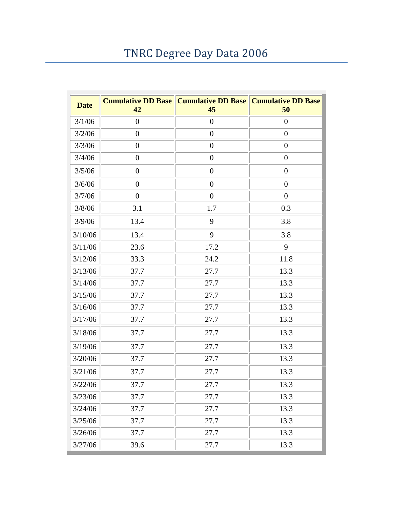## TNRC Degree Day Data 2006

| <b>Date</b> | <b>Cumulative DD Base</b><br>42 | <b>Cumulative DD Base   Cumulative DD Base</b><br>45 | 50               |
|-------------|---------------------------------|------------------------------------------------------|------------------|
| 3/1/06      | $\boldsymbol{0}$                | $\overline{0}$                                       | $\theta$         |
| 3/2/06      | $\overline{0}$                  | $\overline{0}$                                       | $\overline{0}$   |
| 3/3/06      | $\boldsymbol{0}$                | $\boldsymbol{0}$                                     | $\boldsymbol{0}$ |
| 3/4/06      | $\boldsymbol{0}$                | $\boldsymbol{0}$                                     | $\overline{0}$   |
| 3/5/06      | $\boldsymbol{0}$                | $\boldsymbol{0}$                                     | $\overline{0}$   |
| 3/6/06      | $\boldsymbol{0}$                | $\overline{0}$                                       | $\boldsymbol{0}$ |
| 3/7/06      | $\overline{0}$                  | $\boldsymbol{0}$                                     | $\overline{0}$   |
| 3/8/06      | 3.1                             | 1.7                                                  | 0.3              |
| 3/9/06      | 13.4                            | 9                                                    | 3.8              |
| 3/10/06     | 13.4                            | 9                                                    | 3.8              |
| 3/11/06     | 23.6                            | 17.2                                                 | 9                |
| 3/12/06     | 33.3                            | 24.2                                                 | 11.8             |
| 3/13/06     | 37.7                            | 27.7                                                 | 13.3             |
| 3/14/06     | 37.7                            | 27.7                                                 | 13.3             |
| 3/15/06     | 37.7                            | 27.7                                                 | 13.3             |
| 3/16/06     | 37.7                            | 27.7                                                 | 13.3             |
| 3/17/06     | 37.7                            | 27.7                                                 | 13.3             |
| 3/18/06     | 37.7                            | 27.7                                                 | 13.3             |
| 3/19/06     | 37.7                            | 27.7                                                 | 13.3             |
| 3/20/06     | 37.7                            | 27.7                                                 | 13.3             |
| 3/21/06     | 37.7                            | 27.7                                                 | 13.3             |
| 3/22/06     | 37.7                            | 27.7                                                 | 13.3             |
| 3/23/06     | 37.7                            | 27.7                                                 | 13.3             |
| 3/24/06     | 37.7                            | 27.7                                                 | 13.3             |
| 3/25/06     | 37.7                            | 27.7                                                 | 13.3             |
| 3/26/06     | 37.7                            | 27.7                                                 | 13.3             |
| 3/27/06     | 39.6                            | 27.7                                                 | 13.3             |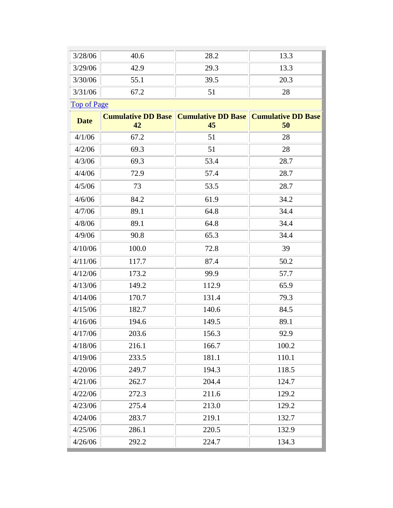| 3/28/06            | 40.6                            | 28.2                            | 13.3                            |
|--------------------|---------------------------------|---------------------------------|---------------------------------|
| 3/29/06            | 42.9                            | 29.3                            | 13.3                            |
| 3/30/06            | 55.1                            | 39.5                            | 20.3                            |
| 3/31/06            | 67.2                            | 51                              | 28                              |
| <b>Top of Page</b> |                                 |                                 |                                 |
| <b>Date</b>        | <b>Cumulative DD Base</b><br>42 | <b>Cumulative DD Base</b><br>45 | <b>Cumulative DD Base</b><br>50 |
| 4/1/06             | 67.2                            | 51                              | 28                              |
| 4/2/06             | 69.3                            | 51                              | 28                              |
| 4/3/06             | 69.3                            | 53.4                            | 28.7                            |
| 4/4/06             | 72.9                            | 57.4                            | 28.7                            |
| 4/5/06             | 73                              | 53.5                            | 28.7                            |
| 4/6/06             | 84.2                            | 61.9                            | 34.2                            |
| 4/7/06             | 89.1                            | 64.8                            | 34.4                            |
| 4/8/06             | 89.1                            | 64.8                            | 34.4                            |
| 4/9/06             | 90.8                            | 65.3                            | 34.4                            |
| 4/10/06            | 100.0                           | 72.8                            | 39                              |
| 4/11/06            | 117.7                           | 87.4                            | 50.2                            |
| 4/12/06            | 173.2                           | 99.9                            | 57.7                            |
| 4/13/06            | 149.2                           | 112.9                           | 65.9                            |
| 4/14/06            | 170.7                           | 131.4                           | 79.3                            |
| 4/15/06            | 182.7                           | 140.6                           | 84.5                            |
| 4/16/06            | 194.6                           | 149.5                           | 89.1                            |
| 4/17/06            | 203.6                           | 156.3                           | 92.9                            |
| 4/18/06            | 216.1                           | 166.7                           | 100.2                           |
| 4/19/06            | 233.5                           | 181.1                           | 110.1                           |
| 4/20/06            | 249.7                           | 194.3                           | 118.5                           |
| 4/21/06            | 262.7                           | 204.4                           | 124.7                           |
| 4/22/06            | 272.3                           | 211.6                           | 129.2                           |
| 4/23/06            | 275.4                           | 213.0                           | 129.2                           |
| 4/24/06            | 283.7                           | 219.1                           | 132.7                           |
| 4/25/06            | 286.1                           | 220.5                           | 132.9                           |
| 4/26/06            | 292.2                           | 224.7                           | 134.3                           |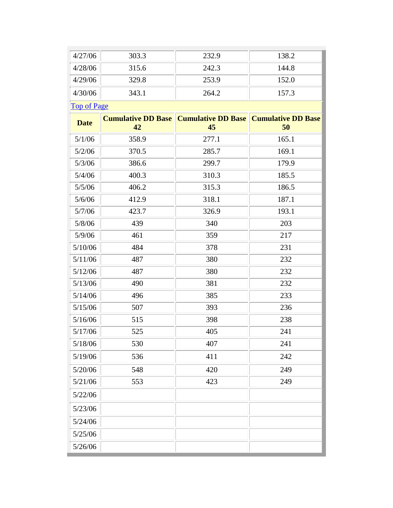| 4/27/06            | 303.3                           | 232.9                           | 138.2                           |
|--------------------|---------------------------------|---------------------------------|---------------------------------|
| 4/28/06            | 315.6                           | 242.3                           | 144.8                           |
| 4/29/06            | 329.8                           | 253.9                           | 152.0                           |
| 4/30/06            | 343.1                           | 264.2                           | 157.3                           |
| <b>Top of Page</b> |                                 |                                 |                                 |
| <b>Date</b>        | <b>Cumulative DD Base</b><br>42 | <b>Cumulative DD Base</b><br>45 | <b>Cumulative DD Base</b><br>50 |
| 5/1/06             | 358.9                           | 277.1                           | 165.1                           |
| 5/2/06             | 370.5                           | 285.7                           | 169.1                           |
| 5/3/06             | 386.6                           | 299.7                           | 179.9                           |
| 5/4/06             | 400.3                           | 310.3                           | 185.5                           |
| 5/5/06             | 406.2                           | 315.3                           | 186.5                           |
| 5/6/06             | 412.9                           | 318.1                           | 187.1                           |
| 5/7/06             | 423.7                           | 326.9                           | 193.1                           |
| 5/8/06             | 439                             | 340                             | 203                             |
| 5/9/06             | 461                             | 359                             | 217                             |
| 5/10/06            | 484                             | 378                             | 231                             |
| 5/11/06            | 487                             | 380                             | 232                             |
| 5/12/06            | 487                             | 380                             | 232                             |
| 5/13/06            | 490                             | 381                             | 232                             |
| 5/14/06            | 496                             | 385                             | 233                             |
| 5/15/06            | 507                             | 393                             | 236                             |
| 5/16/06            | 515                             | 398                             | 238                             |
| 5/17/06            | 525                             | 405                             | 241                             |
| 5/18/06            | 530                             | 407                             | 241                             |
| 5/19/06            | 536                             | 411                             | 242                             |
| 5/20/06            | 548                             | 420                             | 249                             |
| 5/21/06            | 553                             | 423                             | 249                             |
| 5/22/06            |                                 |                                 |                                 |
| 5/23/06            |                                 |                                 |                                 |
| 5/24/06            |                                 |                                 |                                 |
| 5/25/06            |                                 |                                 |                                 |
| 5/26/06            |                                 |                                 |                                 |
|                    |                                 |                                 |                                 |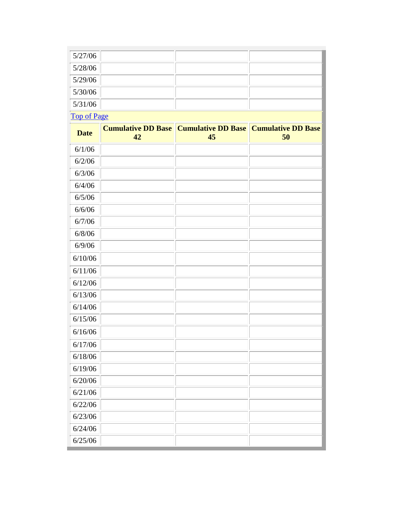| 5/27/06 |  |  |
|---------|--|--|
| 5/28/06 |  |  |
| 5/29/06 |  |  |
| 5/30/06 |  |  |
| 5/31/06 |  |  |

[Top of Page](http://www.agbioresearch.msu.edu/tnrc/weather2006.htm#weathertop)

| <b>Date</b> | <b>Cumulative DD Base</b><br>42 | <b>Cumulative DD Base</b><br>45 | <b>Cumulative DD Base</b><br>50 |
|-------------|---------------------------------|---------------------------------|---------------------------------|
| 6/1/06      |                                 |                                 |                                 |
| 6/2/06      |                                 |                                 |                                 |
| 6/3/06      |                                 |                                 |                                 |
| 6/4/06      |                                 |                                 |                                 |
| 6/5/06      |                                 |                                 |                                 |
| 6/6/06      |                                 |                                 |                                 |
| 6/7/06      |                                 |                                 |                                 |
| 6/8/06      |                                 |                                 |                                 |
| 6/9/06      |                                 |                                 |                                 |
| 6/10/06     |                                 |                                 |                                 |
| 6/11/06     |                                 |                                 |                                 |
| 6/12/06     |                                 |                                 |                                 |
| 6/13/06     |                                 |                                 |                                 |
| 6/14/06     |                                 |                                 |                                 |
| 6/15/06     |                                 |                                 |                                 |
| 6/16/06     |                                 |                                 |                                 |
| 6/17/06     |                                 |                                 |                                 |
| 6/18/06     |                                 |                                 |                                 |
| 6/19/06     |                                 |                                 |                                 |
| 6/20/06     |                                 |                                 |                                 |
| 6/21/06     |                                 |                                 |                                 |
| 6/22/06     |                                 |                                 |                                 |
| 6/23/06     |                                 |                                 |                                 |
| 6/24/06     |                                 |                                 |                                 |
| 6/25/06     |                                 |                                 |                                 |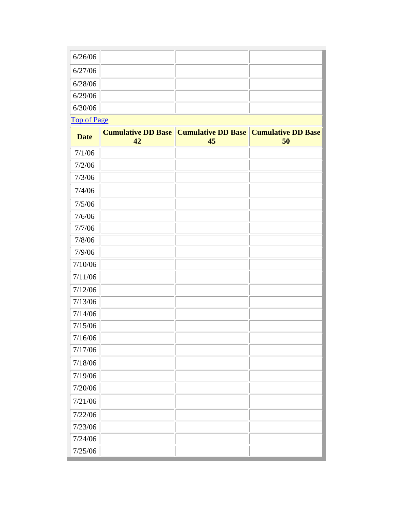| 6/26/06 |  |  |
|---------|--|--|
| 6/27/06 |  |  |
| 6/28/06 |  |  |
| 6/29/06 |  |  |
| 6/30/06 |  |  |

L

[Top of Page](http://www.agbioresearch.msu.edu/tnrc/weather2006.htm#weathertop)

| <b>Date</b> | <b>Cumulative DD Base</b><br>42 | <b>Cumulative DD Base</b><br>45 | <b>Cumulative DD Base</b><br>50 |
|-------------|---------------------------------|---------------------------------|---------------------------------|
| 7/1/06      |                                 |                                 |                                 |
| 7/2/06      |                                 |                                 |                                 |
| 7/3/06      |                                 |                                 |                                 |
| 7/4/06      |                                 |                                 |                                 |
| 7/5/06      |                                 |                                 |                                 |
| 7/6/06      |                                 |                                 |                                 |
| 7/7/06      |                                 |                                 |                                 |
| 7/8/06      |                                 |                                 |                                 |
| 7/9/06      |                                 |                                 |                                 |
| 7/10/06     |                                 |                                 |                                 |
| 7/11/06     |                                 |                                 |                                 |
| 7/12/06     |                                 |                                 |                                 |
| 7/13/06     |                                 |                                 |                                 |
| 7/14/06     |                                 |                                 |                                 |
| 7/15/06     |                                 |                                 |                                 |
| 7/16/06     |                                 |                                 |                                 |
| 7/17/06     |                                 |                                 |                                 |
| 7/18/06     |                                 |                                 |                                 |
| 7/19/06     |                                 |                                 |                                 |
| 7/20/06     |                                 |                                 |                                 |
| 7/21/06     |                                 |                                 |                                 |
| 7/22/06     |                                 |                                 |                                 |
| 7/23/06     |                                 |                                 |                                 |
| 7/24/06     |                                 |                                 |                                 |
| 7/25/06     |                                 |                                 |                                 |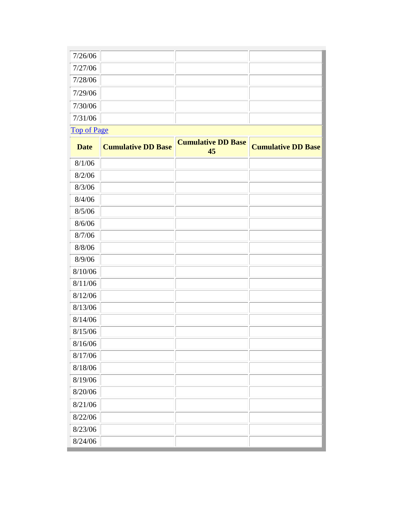| 7/26/06            |  |  |  |
|--------------------|--|--|--|
| 7/27/06            |  |  |  |
| 7/28/06            |  |  |  |
| 7/29/06            |  |  |  |
| 7/30/06            |  |  |  |
| 7/31/06            |  |  |  |
| <b>Top of Page</b> |  |  |  |

| <b>Date</b> | <b>Cumulative DD Base</b> | <b>Cumulative DD Base</b><br>45 | <b>Cumulative DD Base</b> |
|-------------|---------------------------|---------------------------------|---------------------------|
| 8/1/06      |                           |                                 |                           |
| 8/2/06      |                           |                                 |                           |
| 8/3/06      |                           |                                 |                           |
| 8/4/06      |                           |                                 |                           |
| 8/5/06      |                           |                                 |                           |
| 8/6/06      |                           |                                 |                           |
| 8/7/06      |                           |                                 |                           |
| 8/8/06      |                           |                                 |                           |
| 8/9/06      |                           |                                 |                           |
| 8/10/06     |                           |                                 |                           |
| 8/11/06     |                           |                                 |                           |
| 8/12/06     |                           |                                 |                           |
| 8/13/06     |                           |                                 |                           |
| 8/14/06     |                           |                                 |                           |
| 8/15/06     |                           |                                 |                           |
| 8/16/06     |                           |                                 |                           |
| 8/17/06     |                           |                                 |                           |
| 8/18/06     |                           |                                 |                           |
| 8/19/06     |                           |                                 |                           |
| 8/20/06     |                           |                                 |                           |
| 8/21/06     |                           |                                 |                           |
| 8/22/06     |                           |                                 |                           |
| 8/23/06     |                           |                                 |                           |
| 8/24/06     |                           |                                 |                           |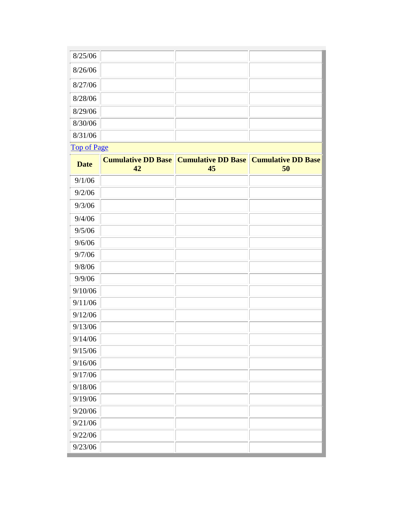| 8/25/06            |                                 |                                 |                                 |
|--------------------|---------------------------------|---------------------------------|---------------------------------|
| 8/26/06            |                                 |                                 |                                 |
| 8/27/06            |                                 |                                 |                                 |
| 8/28/06            |                                 |                                 |                                 |
| 8/29/06            |                                 |                                 |                                 |
| 8/30/06            |                                 |                                 |                                 |
| 8/31/06            |                                 |                                 |                                 |
| <b>Top of Page</b> |                                 |                                 |                                 |
| <b>Date</b>        | <b>Cumulative DD Base</b><br>42 | <b>Cumulative DD Base</b><br>45 | <b>Cumulative DD Base</b><br>50 |
| 9/1/06             |                                 |                                 |                                 |
| 9/2/06             |                                 |                                 |                                 |
| 9/3/06             |                                 |                                 |                                 |
| 9/4/06             |                                 |                                 |                                 |
| 9/5/06             |                                 |                                 |                                 |
| 9/6/06             |                                 |                                 |                                 |
| 9/7/06             |                                 |                                 |                                 |
| 9/8/06             |                                 |                                 |                                 |
| 9/9/06             |                                 |                                 |                                 |
| 9/10/06            |                                 |                                 |                                 |
| 9/11/06            |                                 |                                 |                                 |
| 9/12/06            |                                 |                                 |                                 |
| 9/13/06            |                                 |                                 |                                 |
| 9/14/06            |                                 |                                 |                                 |
| 9/15/06            |                                 |                                 |                                 |
| 9/16/06            |                                 |                                 |                                 |
| 9/17/06            |                                 |                                 |                                 |
| 9/18/06            |                                 |                                 |                                 |
| 9/19/06            |                                 |                                 |                                 |
| 9/20/06            |                                 |                                 |                                 |
| 9/21/06            |                                 |                                 |                                 |
| 9/22/06            |                                 |                                 |                                 |
| 9/23/06            |                                 |                                 |                                 |